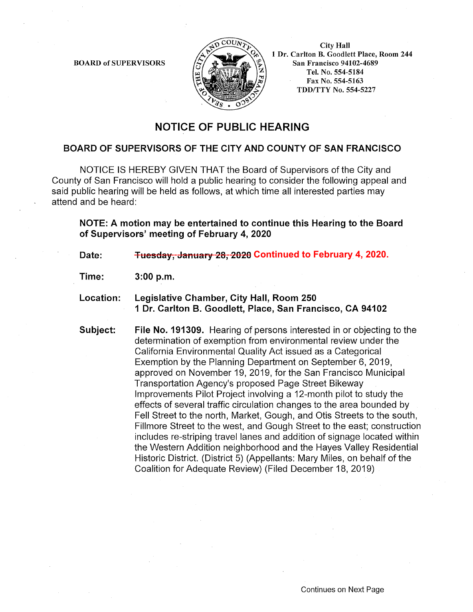BOARD of SUPERVISORS



City Hall 1 Dr. Carlton B. Goodlett Place, Room 244 San Francisco 94102-4689 Tel. No. 554-5184 Fax No. 554-5163 TDD/TTY No. 554-5227

## **NOTICE OF PUBLIC HEARING**

## **BOARD OF SUPERVISORS OF THE CITY AND COUNTY OF SAN FRANCISCO**

NOTICE IS HEREBY GIVEN THAT the Board of Supervisors of the City and County of San Francisco will hold a public hearing to consider the following appeal and said public hearing will be held as follows, at which time all interested parties may attend and be heard:

**NOTE: A motion may be entertained to continue this Hearing to the Board of Supervisors' meeting of February 4, 2020** 

Date: <del>Tuesday, January 28, 2020</del> Continued to February 4, 2020.

**Time: 3:00 p.m.** 

- **Location: Legislative Chamber, City Hall, Room 250 1 Dr. Carlton B. Goodlett, Place, San Francisco, CA 94102**
- **Subject: File No. 191309.** Hearing of persons interested in or objecting to the determination of exemption from environmental review under the California Environmental Quality Act issued as a Categorical Exemption by the Planning Department on September 6, 2019, approved on November 19, 2019, for the San Francisco Municipal Transportation Agency's proposed Page Street Bikeway Improvements Pilot Project involving a 12-month pilot to study the effects of several traffic circulation changes to the area bounded by Fell Street to the north, Market, Gough, and Otis Streets to the south, Fillmore Street to the west, and Gough Street to the east; construction includes re-striping travel lanes and addition of signage located within the Western Addition neighborhood and the Hayes Valley Residential Historic District. (District 5) (Appellants: Mary Miles, on behalf of the Coalition for Adequate Review) (Filed December 18, 2019)